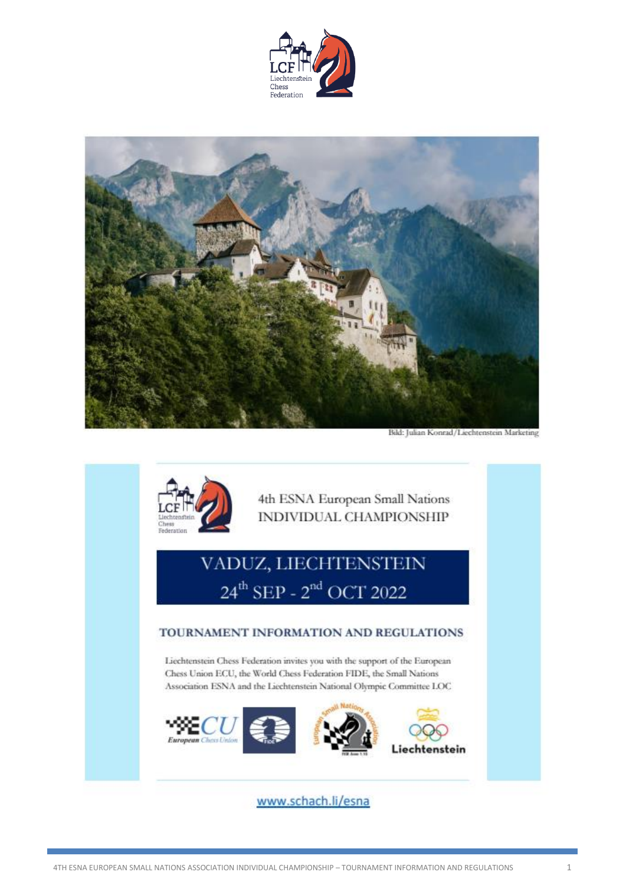



Bild: Julian Konrad/Liechtenstein Marketing



4th ESNA European Small Nations INDIVIDUAL CHAMPIONSHIP

# VADUZ, LIECHTENSTEIN  $24^{th}$  SEP -  $2^{nd}$  OCT 2022

#### TOURNAMENT INFORMATION AND REGULATIONS

Liechtenstein Chess Federation invites you with the support of the European Chess Union ECU, the World Chess Federation FIDE, the Small Nations Association ESNA and the Liechtenstein National Olympic Committee LOC



www.schach.li/esna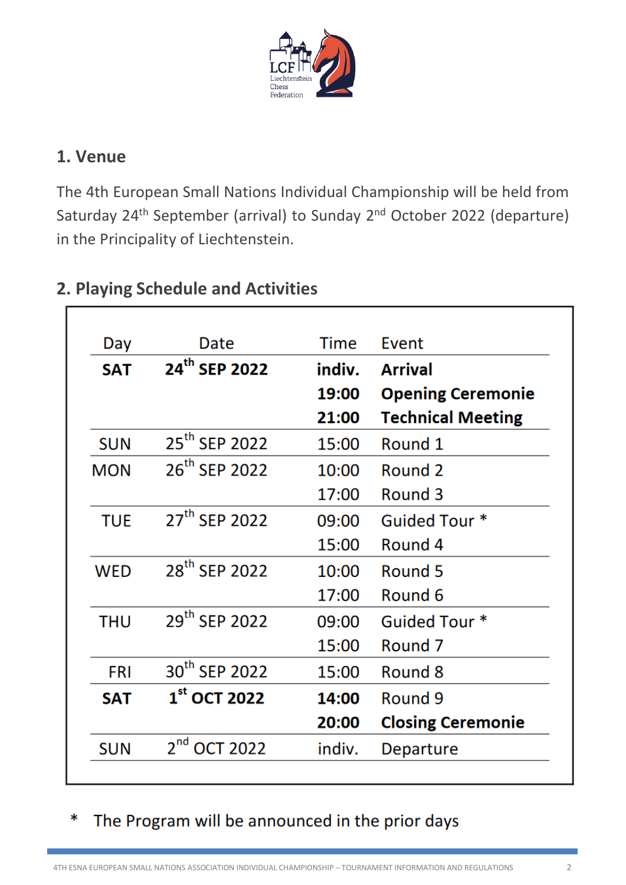

#### **1. Venue**

r

The 4th European Small Nations Individual Championship will be held from Saturday 24<sup>th</sup> September (arrival) to Sunday 2<sup>nd</sup> October 2022 (departure) in the Principality of Liechtenstein.

| Day        | Date                        | Time   | Event                    |
|------------|-----------------------------|--------|--------------------------|
| <b>SAT</b> | 24 <sup>th</sup> SEP 2022   | indiv. | <b>Arrival</b>           |
|            |                             | 19:00  | <b>Opening Ceremonie</b> |
|            |                             | 21:00  | <b>Technical Meeting</b> |
| <b>SUN</b> | 25 <sup>th</sup> SEP 2022   | 15:00  | Round 1                  |
| <b>MON</b> | 26 <sup>th</sup> SEP 2022   | 10:00  | Round 2                  |
|            |                             | 17:00  | Round 3                  |
| <b>TUE</b> | 27 <sup>th</sup> SEP 2022   | 09:00  | Guided Tour *            |
|            |                             | 15:00  | Round 4                  |
| <b>WED</b> | 28 <sup>th</sup> SEP 2022   | 10:00  | Round 5                  |
|            |                             | 17:00  | Round 6                  |
| <b>THU</b> | 29 <sup>th</sup> SEP 2022   | 09:00  | Guided Tour *            |
|            |                             | 15:00  | Round 7                  |
| <b>FRI</b> | 30 <sup>th</sup> SEP 2022   | 15:00  | Round 8                  |
| <b>SAT</b> | $1st$ OCT 2022              | 14:00  | Round 9                  |
|            |                             | 20:00  | <b>Closing Ceremonie</b> |
| <b>SUN</b> | $2^{nd}$<br><b>OCT 2022</b> | indiv. | Departure                |

# **2. Playing Schedule and Activities**

# The Program will be announced in the prior days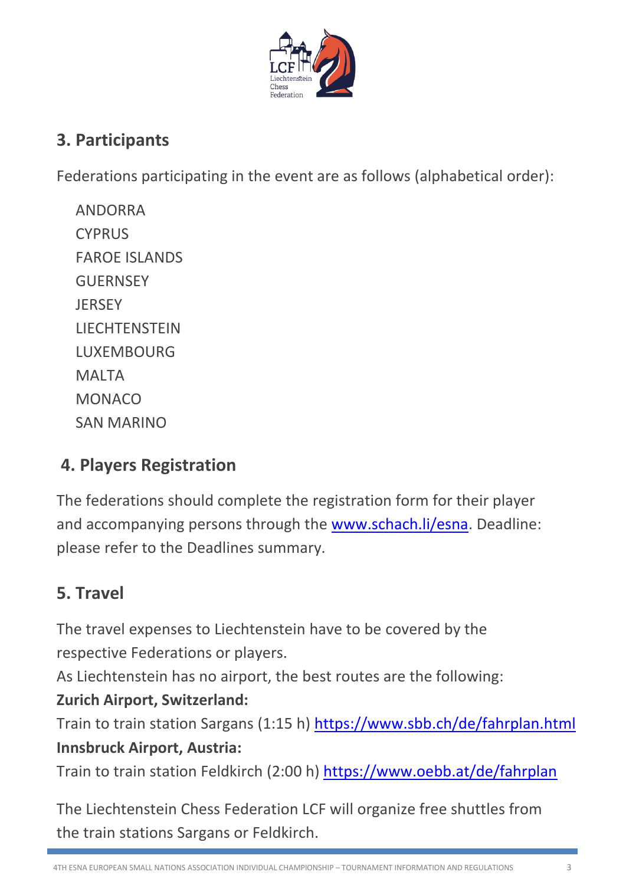

#### **3. Participants**

Federations participating in the event are as follows (alphabetical order):

ANDORRA **CYPRUS** FAROE ISLANDS **GUERNSEY JERSEY LIECHTENSTEIN** LUXEMBOURG **MAITA** MONACO SAN MARINO

# **4. Players Registration**

The federations should complete the registration form for their player and accompanying persons through the [www.schach.li/esna.](http://www.schach.li/esna) Deadline: please refer to the Deadlines summary.

# **5. Travel**

The travel expenses to Liechtenstein have to be covered by the respective Federations or players.

As Liechtenstein has no airport, the best routes are the following:

#### **Zurich Airport, Switzerland:**

Train to train station Sargans (1:15 h) <https://www.sbb.ch/de/fahrplan.html> **Innsbruck Airport, Austria:** 

Train to train station Feldkirch (2:00 h) <https://www.oebb.at/de/fahrplan>

The Liechtenstein Chess Federation LCF will organize free shuttles from the train stations Sargans or Feldkirch.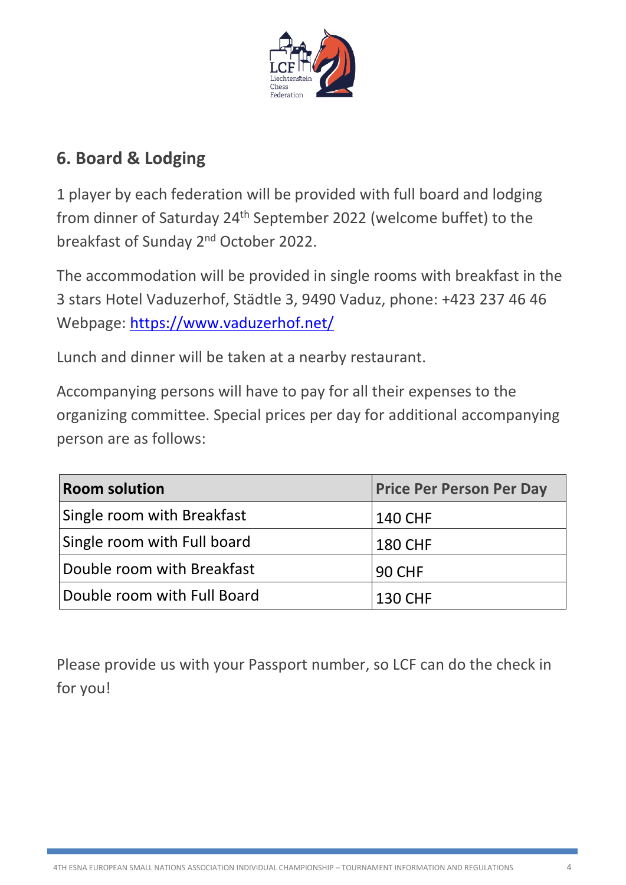

#### **6. Board & Lodging**

1 player by each federation will be provided with full board and lodging from dinner of Saturday 24<sup>th</sup> September 2022 (welcome buffet) to the breakfast of Sunday 2<sup>nd</sup> October 2022.

The accommodation will be provided in single rooms with breakfast in the 3 stars Hotel Vaduzerhof, Städtle 3, 9490 Vaduz, phone: +423 237 46 46 Webpage:<https://www.vaduzerhof.net/>

Lunch and dinner will be taken at a nearby restaurant.

Accompanying persons will have to pay for all their expenses to the organizing committee. Special prices per day for additional accompanying person are as follows:

| <b>Room solution</b>        | <b>Price Per Person Per Day</b> |
|-----------------------------|---------------------------------|
| Single room with Breakfast  | <b>140 CHF</b>                  |
| Single room with Full board | <b>180 CHF</b>                  |
| Double room with Breakfast  | <b>90 CHF</b>                   |
| Double room with Full Board | <b>130 CHF</b>                  |

Please provide us with your Passport number, so LCF can do the check in for you!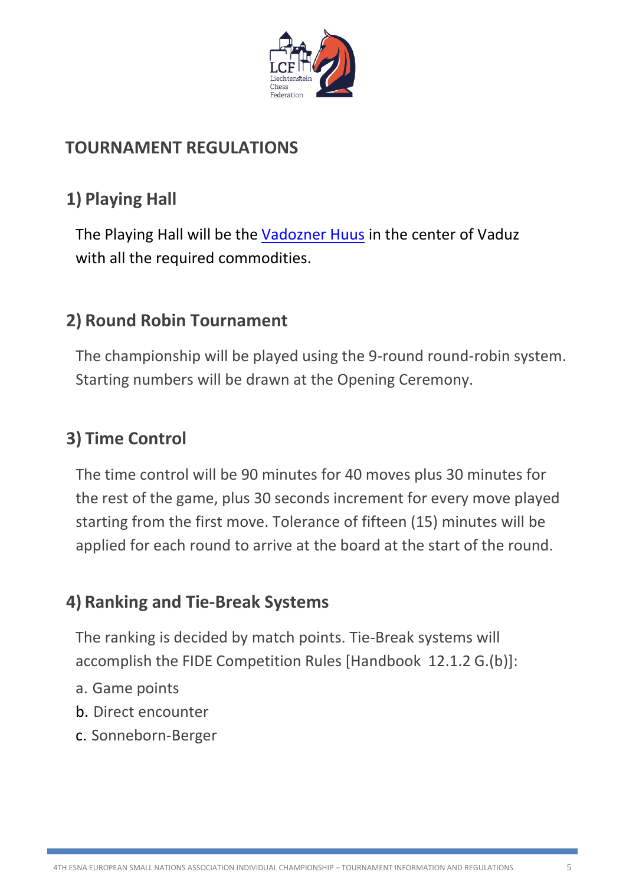

# **TOURNAMENT REGULATIONS**

# **1) Playing Hall**

The Playing Hall will be the [Vadozner Huus](https://www.vadoznerhuus.li/) in the center of Vaduz with all the required commodities.

#### **2) Round Robin Tournament**

The championship will be played using the 9-round round-robin system. Starting numbers will be drawn at the Opening Ceremony.

# **3) Time Control**

The time control will be 90 minutes for 40 moves plus 30 minutes for the rest of the game, plus 30 seconds increment for every move played starting from the first move. Tolerance of fifteen (15) minutes will be applied for each round to arrive at the board at the start of the round.

# **4) Ranking and Tie-Break Systems**

The ranking is decided by match points. Tie-Break systems will accomplish the FIDE Competition Rules [Handbook 12.1.2 G.(b)]:

- a. Game points
- b. Direct encounter
- c. Sonneborn-Berger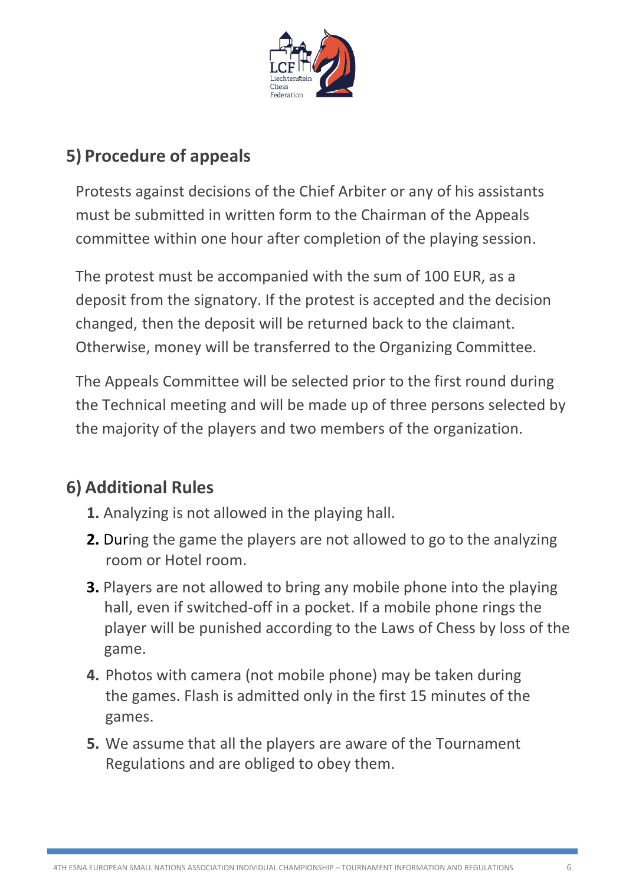

# **5) Procedure of appeals**

Protests against decisions of the Chief Arbiter or any of his assistants must be submitted in written form to the Chairman of the Appeals committee within one hour after completion of the playing session.

The protest must be accompanied with the sum of 100 EUR, as a deposit from the signatory. If the protest is accepted and the decision changed, then the deposit will be returned back to the claimant. Otherwise, money will be transferred to the Organizing Committee.

The Appeals Committee will be selected prior to the first round during the Technical meeting and will be made up of three persons selected by the majority of the players and two members of the organization.

# **6) Additional Rules**

- **1.** Analyzing is not allowed in the playing hall.
- **2.** During the game the players are not allowed to go to the analyzing room or Hotel room.
- **3.** Players are not allowed to bring any mobile phone into the playing hall, even if switched-off in a pocket. If a mobile phone rings the player will be punished according to the Laws of Chess by loss of the game.
- **4.** Photos with camera (not mobile phone) may be taken during the games. Flash is admitted only in the first 15 minutes of the games.
- **5.** We assume that all the players are aware of the Tournament Regulations and are obliged to obey them.